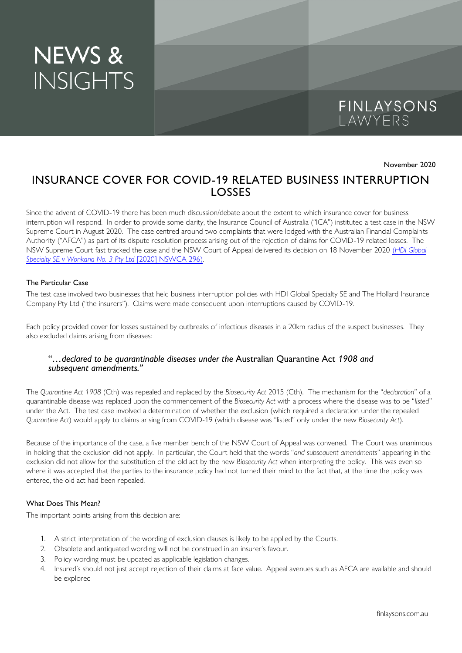# NEWS & **INSIGHTS**



November 2020

## INSURANCE COVER FOR COVID-19 RELATED BUSINESS INTERRUPTION LOSSES

Since the advent of COVID-19 there has been much discussion/debate about the extent to which insurance cover for business interruption will respond. In order to provide some clarity, the Insurance Council of Australia ("ICA") instituted a test case in the NSW Supreme Court in August 2020. The case centred around two complaints that were lodged with the Australian Financial Complaints Authority ("AFCA") as part of its dispute resolution process arising out of the rejection of claims for COVID-19 related losses. The NSW Supreme Court fast tracked the case and the NSW Court of Appeal delivered its decision on 18 November 2020 (*[HDI Global](http://www.austlii.edu.au/cgi-bin/viewdoc/au/cases/nsw/NSWCA/2020/296.html)  [Specialty SE v Wonkana No. 3 Pty Ltd](http://www.austlii.edu.au/cgi-bin/viewdoc/au/cases/nsw/NSWCA/2020/296.html)* [2020] NSWCA 296).

#### The Particular Case

The test case involved two businesses that held business interruption policies with HDI Global Specialty SE and The Hollard Insurance Company Pty Ltd ("the insurers"). Claims were made consequent upon interruptions caused by COVID-19.

Each policy provided cover for losses sustained by outbreaks of infectious diseases in a 20km radius of the suspect businesses. They also excluded claims arising from diseases:

#### "*…declared to be quarantinable diseases under the* Australian Quarantine Act *1908 and subsequent amendments."*

The *Quarantine Act 1908* (Cth) was repealed and replaced by the *Biosecurity Act* 2015 (Cth). The mechanism for the "*declaration*" of a quarantinable disease was replaced upon the commencement of the *Biosecurity Act* with a process where the disease was to be "*listed*" under the Act. The test case involved a determination of whether the exclusion (which required a declaration under the repealed *Quarantine Act*) would apply to claims arising from COVID-19 (which disease was "listed" only under the new *Biosecurity Act*).

Because of the importance of the case, a five member bench of the NSW Court of Appeal was convened. The Court was unanimous in holding that the exclusion did not apply. In particular, the Court held that the words "*and subsequent amendments*" appearing in the exclusion did not allow for the substitution of the old act by the new *Biosecurity Act* when interpreting the policy. This was even so where it was accepted that the parties to the insurance policy had not turned their mind to the fact that, at the time the policy was entered, the old act had been repealed.

#### What Does This Mean?

The important points arising from this decision are:

- 1. A strict interpretation of the wording of exclusion clauses is likely to be applied by the Courts.
- 2. Obsolete and antiquated wording will not be construed in an insurer's favour.
- 3. Policy wording must be updated as applicable legislation changes.
- 4. Insured's should not just accept rejection of their claims at face value. Appeal avenues such as AFCA are available and should be explored